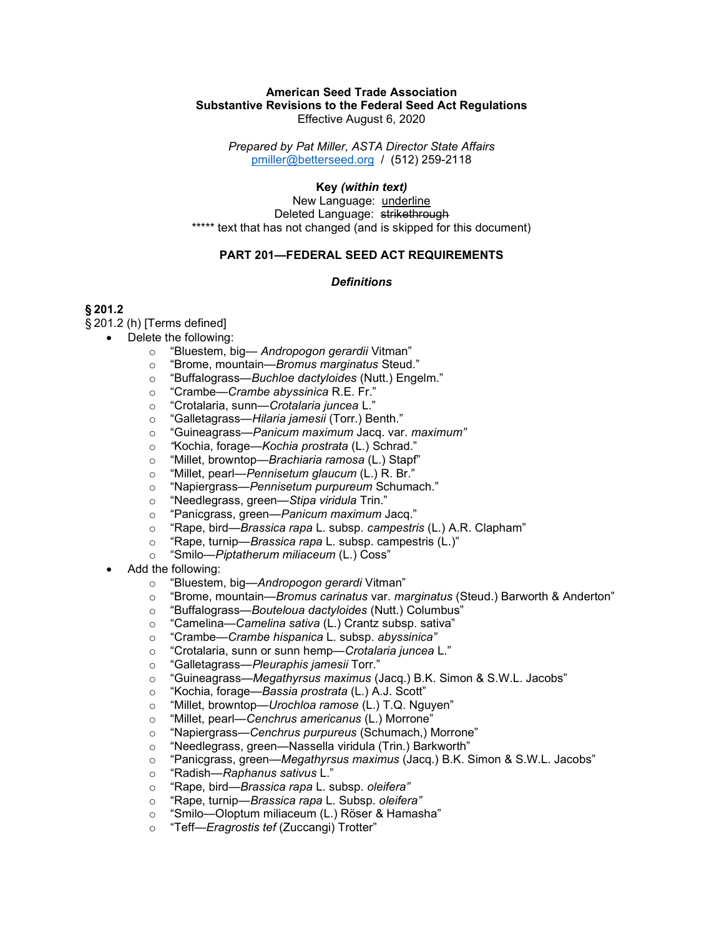#### American Seed Trade Association Substantive Revisions to the Federal Seed Act Regulations Effective August 6, 2020

Prepared by Pat Miller, ASTA Director State Affairs pmiller@betterseed.org / (512) 259-2118

Key (within text)

New Language: underline Deleted Language: strikethrough \*\*\*\*\* text that has not changed (and is skipped for this document)

## PART 201—FEDERAL SEED ACT REQUIREMENTS

#### **Definitions**

# § 201.2

§ 201.2 (h) [Terms defined]

- Delete the following:
	- o "Bluestem, big— Andropogon gerardii Vitman"
	- o "Brome, mountain—Bromus marginatus Steud."
	- o "Buffalograss—Buchloe dactyloides (Nutt.) Engelm."
	- o "Crambe—Crambe abyssinica R.E. Fr."
	- o "Crotalaria, sunn—Crotalaria juncea L."
	- o "Galletagrass—Hilaria jamesii (Torr.) Benth."
	- o "Guineagrass—Panicum maximum Jacq. var. maximum"
	- o "Kochia, forage—Kochia prostrata (L.) Schrad."
	- o "Millet, browntop—Brachiaria ramosa (L.) Stapf"
	- o "Millet, pearl—Pennisetum glaucum (L.) R. Br."
	- o "Napiergrass—Pennisetum purpureum Schumach."
	- o "Needlegrass, green—Stipa viridula Trin."
	- o "Panicgrass, green—Panicum maximum Jacq."
	- o "Rape, bird—Brassica rapa L. subsp. campestris (L.) A.R. Clapham"
	- o "Rape, turnip—*Brassica rapa* L. subsp. campestris (L.)"
	- o "Smilo—Piptatherum miliaceum (L.) Coss"
- Add the following:
	- o "Bluestem, big—Andropogon gerardi Vitman"
	- "Brome, mountain—Bromus carinatus var. marginatus (Steud.) Barworth & Anderton"
	- o "Buffalograss—Bouteloua dactyloides (Nutt.) Columbus"
	- o "Camelina—Camelina sativa (L.) Crantz subsp. sativa"
	- o "Crambe—Crambe hispanica L. subsp. abyssinica"
	- o "Crotalaria, sunn or sunn hemp—Crotalaria juncea L."
	- o "Galletagrass—Pleuraphis jamesii Torr."
	- o "Guineagrass—Megathyrsus maximus (Jacq.) B.K. Simon & S.W.L. Jacobs"
	- o "Kochia, forage—Bassia prostrata (L.) A.J. Scott"
	- o "Millet, browntop—Urochloa ramose (L.) T.Q. Nguyen"
	- o "Millet, pearl—Cenchrus americanus (L.) Morrone"
	- o "Napiergrass—Cenchrus purpureus (Schumach,) Morrone"
	- o "Needlegrass, green—Nassella viridula (Trin.) Barkworth"
	- o "Panicgrass, green—Megathyrsus maximus (Jacq.) B.K. Simon & S.W.L. Jacobs"
	- o "Radish—Raphanus sativus L."
	- o "Rape, bird—Brassica rapa L. subsp. oleifera"
	- o "Rape, turnip—Brassica rapa L. Subsp. oleifera"
	- o "Smilo—Oloptum miliaceum (L.) Röser & Hamasha"
	- o "Teff—*Eragrostis tef* (Zuccangi) Trotter"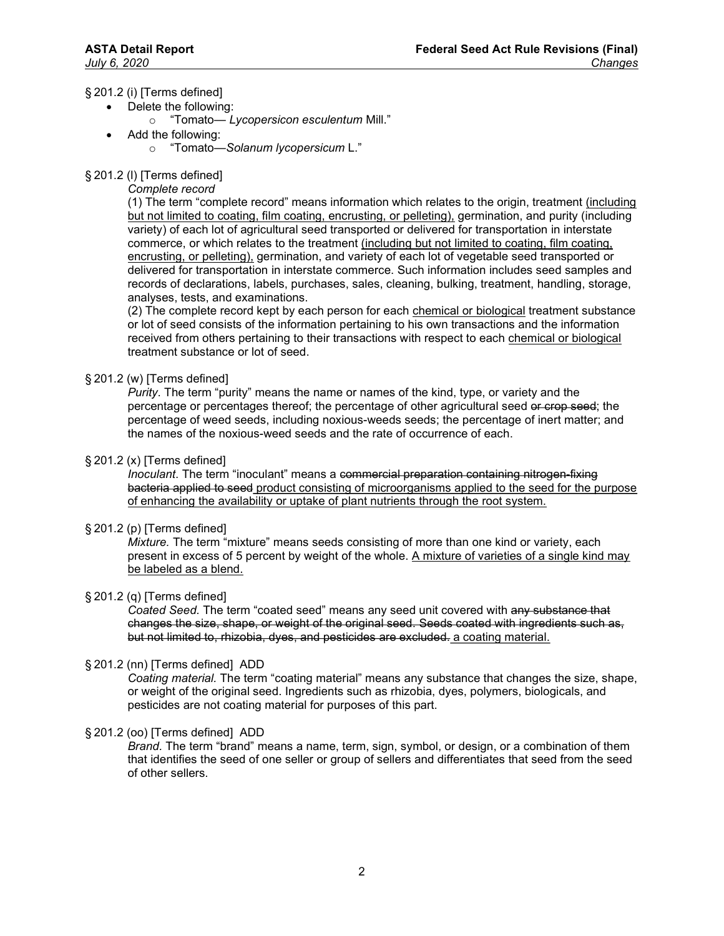## § 201.2 (i) [Terms defined]

- Delete the following:
	- o "Tomato— Lycopersicon esculentum Mill."
- Add the following:
	- o "Tomato—Solanum lycopersicum L."

# § 201.2 (l) [Terms defined]

Complete record

(1) The term "complete record" means information which relates to the origin, treatment (including but not limited to coating, film coating, encrusting, or pelleting), germination, and purity (including variety) of each lot of agricultural seed transported or delivered for transportation in interstate commerce, or which relates to the treatment (including but not limited to coating, film coating, encrusting, or pelleting), germination, and variety of each lot of vegetable seed transported or delivered for transportation in interstate commerce. Such information includes seed samples and records of declarations, labels, purchases, sales, cleaning, bulking, treatment, handling, storage, analyses, tests, and examinations.

(2) The complete record kept by each person for each chemical or biological treatment substance or lot of seed consists of the information pertaining to his own transactions and the information received from others pertaining to their transactions with respect to each chemical or biological treatment substance or lot of seed.

## § 201.2 (w) [Terms defined]

Purity. The term "purity" means the name or names of the kind, type, or variety and the percentage or percentages thereof; the percentage of other agricultural seed or crop seed; the percentage of weed seeds, including noxious-weeds seeds; the percentage of inert matter; and the names of the noxious-weed seeds and the rate of occurrence of each.

## § 201.2 (x) [Terms defined]

Inoculant. The term "inoculant" means a commercial preparation containing nitrogen-fixing bacteria applied to seed product consisting of microorganisms applied to the seed for the purpose of enhancing the availability or uptake of plant nutrients through the root system.

## § 201.2 (p) [Terms defined]

Mixture. The term "mixture" means seeds consisting of more than one kind or variety, each present in excess of 5 percent by weight of the whole. A mixture of varieties of a single kind may be labeled as a blend.

## § 201.2 (q) [Terms defined]

Coated Seed. The term "coated seed" means any seed unit covered with any substance that changes the size, shape, or weight of the original seed. Seeds coated with ingredients such as, but not limited to, rhizobia, dyes, and pesticides are excluded. a coating material.

## § 201.2 (nn) [Terms defined] ADD

Coating material. The term "coating material" means any substance that changes the size, shape, or weight of the original seed. Ingredients such as rhizobia, dyes, polymers, biologicals, and pesticides are not coating material for purposes of this part.

## § 201.2 (oo) [Terms defined] ADD

Brand. The term "brand" means a name, term, sign, symbol, or design, or a combination of them that identifies the seed of one seller or group of sellers and differentiates that seed from the seed of other sellers.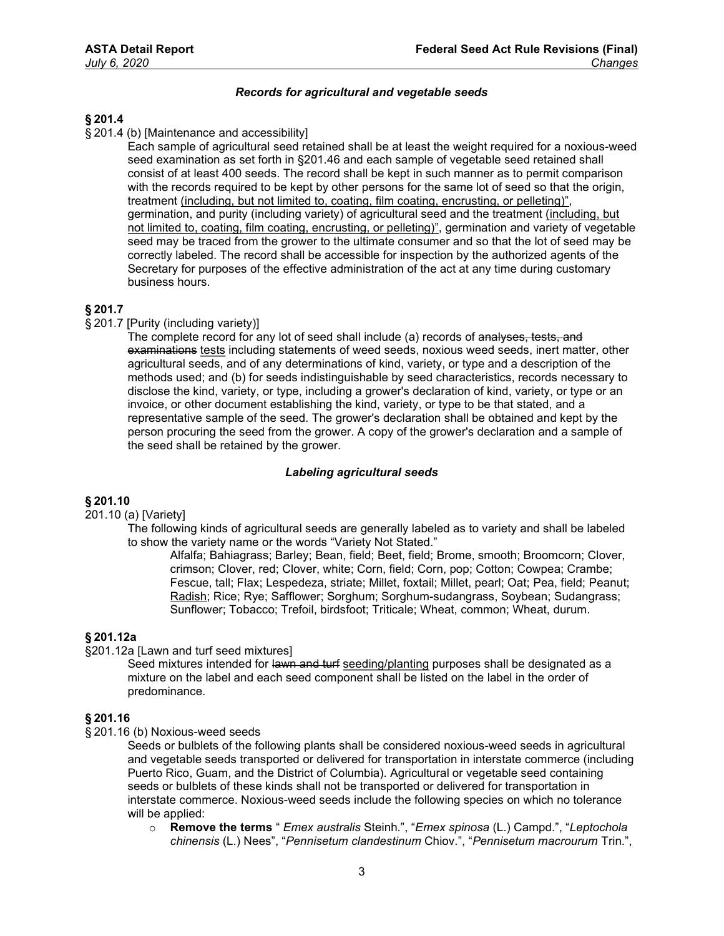#### Records for agricultural and vegetable seeds

# § 201.4

§ 201.4 (b) [Maintenance and accessibility]

Each sample of agricultural seed retained shall be at least the weight required for a noxious-weed seed examination as set forth in §201.46 and each sample of vegetable seed retained shall consist of at least 400 seeds. The record shall be kept in such manner as to permit comparison with the records required to be kept by other persons for the same lot of seed so that the origin, treatment (including, but not limited to, coating, film coating, encrusting, or pelleting)", germination, and purity (including variety) of agricultural seed and the treatment (including, but not limited to, coating, film coating, encrusting, or pelleting)", germination and variety of vegetable seed may be traced from the grower to the ultimate consumer and so that the lot of seed may be correctly labeled. The record shall be accessible for inspection by the authorized agents of the Secretary for purposes of the effective administration of the act at any time during customary business hours.

## § 201.7

#### § 201.7 [Purity (including variety)]

The complete record for any lot of seed shall include (a) records of analyses, tests, and examinations tests including statements of weed seeds, noxious weed seeds, inert matter, other agricultural seeds, and of any determinations of kind, variety, or type and a description of the methods used; and (b) for seeds indistinguishable by seed characteristics, records necessary to disclose the kind, variety, or type, including a grower's declaration of kind, variety, or type or an invoice, or other document establishing the kind, variety, or type to be that stated, and a representative sample of the seed. The grower's declaration shall be obtained and kept by the person procuring the seed from the grower. A copy of the grower's declaration and a sample of the seed shall be retained by the grower.

#### Labeling agricultural seeds

# § 201.10

201.10 (a) [Variety]

The following kinds of agricultural seeds are generally labeled as to variety and shall be labeled to show the variety name or the words "Variety Not Stated."

Alfalfa; Bahiagrass; Barley; Bean, field; Beet, field; Brome, smooth; Broomcorn; Clover, crimson; Clover, red; Clover, white; Corn, field; Corn, pop; Cotton; Cowpea; Crambe; Fescue, tall; Flax; Lespedeza, striate; Millet, foxtail; Millet, pearl; Oat; Pea, field; Peanut; Radish; Rice; Rye; Safflower; Sorghum; Sorghum-sudangrass, Soybean; Sudangrass; Sunflower; Tobacco; Trefoil, birdsfoot; Triticale; Wheat, common; Wheat, durum.

#### § 201.12a

§201.12a [Lawn and turf seed mixtures]

Seed mixtures intended for lawn and turf seeding/planting purposes shall be designated as a mixture on the label and each seed component shall be listed on the label in the order of predominance.

#### § 201.16

§ 201.16 (b) Noxious-weed seeds

Seeds or bulblets of the following plants shall be considered noxious-weed seeds in agricultural and vegetable seeds transported or delivered for transportation in interstate commerce (including Puerto Rico, Guam, and the District of Columbia). Agricultural or vegetable seed containing seeds or bulblets of these kinds shall not be transported or delivered for transportation in interstate commerce. Noxious-weed seeds include the following species on which no tolerance will be applied:

 $\circ$  Remove the terms " *Emex australis Steinh.", "Emex spinosa* (L.) Campd.", "Leptochola chinensis (L.) Nees", "Pennisetum clandestinum Chiov.", "Pennisetum macrourum Trin.",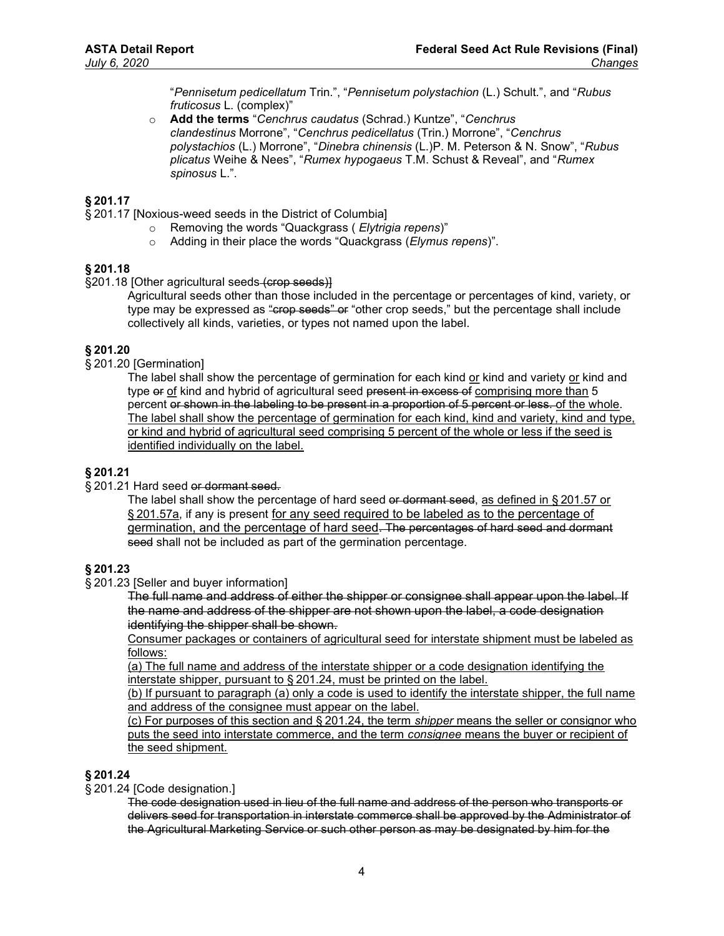"Pennisetum pedicellatum Trin.", "Pennisetum polystachion (L.) Schult.", and "Rubus fruticosus L. (complex)"

o Add the terms "Cenchrus caudatus (Schrad.) Kuntze", "Cenchrus clandestinus Morrone", "Cenchrus pedicellatus (Trin.) Morrone", "Cenchrus polystachios (L.) Morrone", "Dinebra chinensis (L.)P. M. Peterson & N. Snow", "Rubus plicatus Weihe & Nees", "Rumex hypogaeus T.M. Schust & Reveal", and "Rumex spinosus L.".

## § 201.17

§ 201.17 [Noxious-weed seeds in the District of Columbia]

- o Removing the words "Quackgrass ( Elytrigia repens)"
	- o Adding in their place the words "Quackgrass (Elymus repens)".

## § 201.18

§201.18 [Other agricultural seeds (crop seeds)]

Agricultural seeds other than those included in the percentage or percentages of kind, variety, or type may be expressed as "crop seeds" or "other crop seeds," but the percentage shall include collectively all kinds, varieties, or types not named upon the label.

# § 201.20

§ 201.20 [Germination]

The label shall show the percentage of germination for each kind or kind and variety or kind and type or of kind and hybrid of agricultural seed present in excess of comprising more than 5 percent or shown in the labeling to be present in a proportion of 5 percent or less. of the whole. The label shall show the percentage of germination for each kind, kind and variety, kind and type, or kind and hybrid of agricultural seed comprising 5 percent of the whole or less if the seed is identified individually on the label.

#### § 201.21

§ 201.21 Hard seed or dormant seed.

The label shall show the percentage of hard seed or dormant seed, as defined in §201.57 or § 201.57a, if any is present for any seed required to be labeled as to the percentage of germination, and the percentage of hard seed. The percentages of hard seed and dormant seed shall not be included as part of the germination percentage.

## § 201.23

§ 201.23 [Seller and buyer information]

The full name and address of either the shipper or consignee shall appear upon the label. If the name and address of the shipper are not shown upon the label, a code designation identifying the shipper shall be shown.

Consumer packages or containers of agricultural seed for interstate shipment must be labeled as follows:

(a) The full name and address of the interstate shipper or a code designation identifying the interstate shipper, pursuant to § 201.24, must be printed on the label.

(b) If pursuant to paragraph (a) only a code is used to identify the interstate shipper, the full name and address of the consignee must appear on the label.

(c) For purposes of this section and § 201.24, the term shipper means the seller or consignor who puts the seed into interstate commerce, and the term consignee means the buyer or recipient of the seed shipment.

#### § 201.24

§ 201.24 [Code designation.]

The code designation used in lieu of the full name and address of the person who transports or delivers seed for transportation in interstate commerce shall be approved by the Administrator of the Agricultural Marketing Service or such other person as may be designated by him for the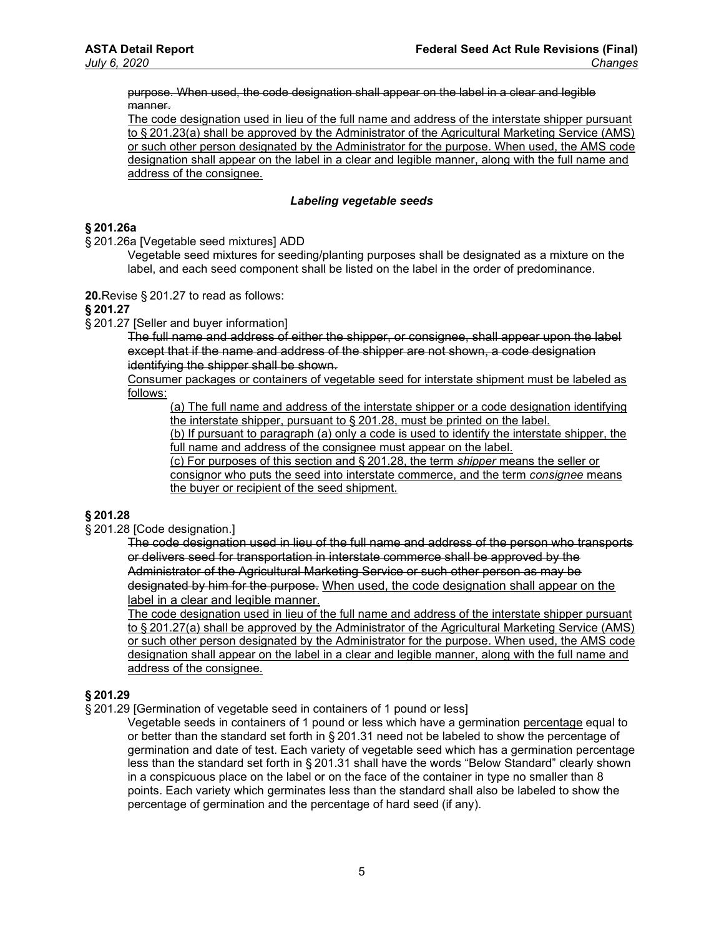purpose. When used, the code designation shall appear on the label in a clear and legible manner.

The code designation used in lieu of the full name and address of the interstate shipper pursuant to § 201.23(a) shall be approved by the Administrator of the Agricultural Marketing Service (AMS) or such other person designated by the Administrator for the purpose. When used, the AMS code designation shall appear on the label in a clear and legible manner, along with the full name and address of the consignee.

#### Labeling vegetable seeds

#### § 201.26a

§ 201.26a [Vegetable seed mixtures] ADD

Vegetable seed mixtures for seeding/planting purposes shall be designated as a mixture on the label, and each seed component shall be listed on the label in the order of predominance.

20.Revise § 201.27 to read as follows:

#### § 201.27

§ 201.27 [Seller and buyer information]

The full name and address of either the shipper, or consignee, shall appear upon the label except that if the name and address of the shipper are not shown, a code designation identifying the shipper shall be shown.

Consumer packages or containers of vegetable seed for interstate shipment must be labeled as follows:

(a) The full name and address of the interstate shipper or a code designation identifying the interstate shipper, pursuant to § 201.28, must be printed on the label.

(b) If pursuant to paragraph (a) only a code is used to identify the interstate shipper, the full name and address of the consignee must appear on the label.

(c) For purposes of this section and § 201.28, the term shipper means the seller or consignor who puts the seed into interstate commerce, and the term consignee means the buyer or recipient of the seed shipment.

## § 201.28

§ 201.28 [Code designation.]

The code designation used in lieu of the full name and address of the person who transports or delivers seed for transportation in interstate commerce shall be approved by the Administrator of the Agricultural Marketing Service or such other person as may be designated by him for the purpose. When used, the code designation shall appear on the label in a clear and legible manner.

The code designation used in lieu of the full name and address of the interstate shipper pursuant to § 201.27(a) shall be approved by the Administrator of the Agricultural Marketing Service (AMS) or such other person designated by the Administrator for the purpose. When used, the AMS code designation shall appear on the label in a clear and legible manner, along with the full name and address of the consignee.

## § 201.29

§ 201.29 [Germination of vegetable seed in containers of 1 pound or less]

Vegetable seeds in containers of 1 pound or less which have a germination percentage equal to or better than the standard set forth in § 201.31 need not be labeled to show the percentage of germination and date of test. Each variety of vegetable seed which has a germination percentage less than the standard set forth in § 201.31 shall have the words "Below Standard" clearly shown in a conspicuous place on the label or on the face of the container in type no smaller than 8 points. Each variety which germinates less than the standard shall also be labeled to show the percentage of germination and the percentage of hard seed (if any).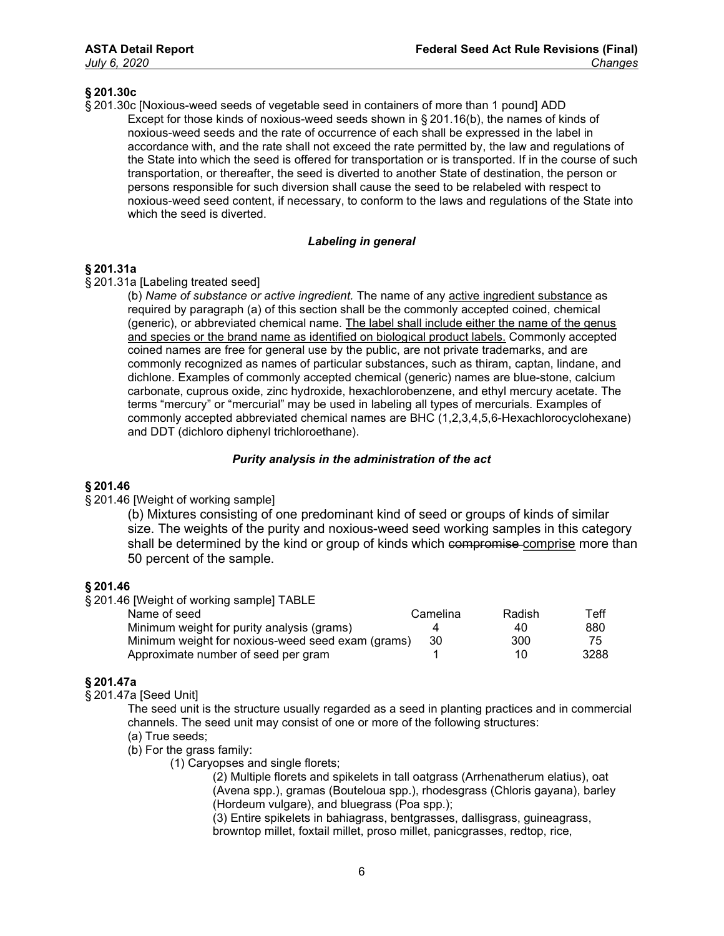## § 201.30c

§ 201.30c [Noxious-weed seeds of vegetable seed in containers of more than 1 pound] ADD Except for those kinds of noxious-weed seeds shown in § 201.16(b), the names of kinds of noxious-weed seeds and the rate of occurrence of each shall be expressed in the label in accordance with, and the rate shall not exceed the rate permitted by, the law and regulations of the State into which the seed is offered for transportation or is transported. If in the course of such transportation, or thereafter, the seed is diverted to another State of destination, the person or persons responsible for such diversion shall cause the seed to be relabeled with respect to noxious-weed seed content, if necessary, to conform to the laws and regulations of the State into which the seed is diverted.

#### Labeling in general

## § 201.31a

#### § 201.31a [Labeling treated seed]

(b) Name of substance or active ingredient. The name of any active ingredient substance as required by paragraph (a) of this section shall be the commonly accepted coined, chemical (generic), or abbreviated chemical name. The label shall include either the name of the genus and species or the brand name as identified on biological product labels. Commonly accepted coined names are free for general use by the public, are not private trademarks, and are commonly recognized as names of particular substances, such as thiram, captan, lindane, and dichlone. Examples of commonly accepted chemical (generic) names are blue-stone, calcium carbonate, cuprous oxide, zinc hydroxide, hexachlorobenzene, and ethyl mercury acetate. The terms "mercury" or "mercurial" may be used in labeling all types of mercurials. Examples of commonly accepted abbreviated chemical names are BHC (1,2,3,4,5,6-Hexachlorocyclohexane) and DDT (dichloro diphenyl trichloroethane).

#### Purity analysis in the administration of the act

## § 201.46

## § 201.46 [Weight of working sample]

(b) Mixtures consisting of one predominant kind of seed or groups of kinds of similar size. The weights of the purity and noxious-weed seed working samples in this category shall be determined by the kind or group of kinds which compromise comprise more than 50 percent of the sample.

## § 201.46

§ 201.46 [Weight of working sample] TABLE

| Name of seed                                      | Camelina | Radish. | Teff |
|---------------------------------------------------|----------|---------|------|
| Minimum weight for purity analysis (grams)        |          | 40      | 880  |
| Minimum weight for noxious-weed seed exam (grams) | -30      | 300     | 75   |
| Approximate number of seed per gram               |          | 10.     | 3288 |

## § 201.47a

§ 201.47a [Seed Unit]

The seed unit is the structure usually regarded as a seed in planting practices and in commercial channels. The seed unit may consist of one or more of the following structures: (a) True seeds;

(b) For the grass family:

(1) Caryopses and single florets;

(2) Multiple florets and spikelets in tall oatgrass (Arrhenatherum elatius), oat (Avena spp.), gramas (Bouteloua spp.), rhodesgrass (Chloris gayana), barley (Hordeum vulgare), and bluegrass (Poa spp.);

(3) Entire spikelets in bahiagrass, bentgrasses, dallisgrass, guineagrass, browntop millet, foxtail millet, proso millet, panicgrasses, redtop, rice,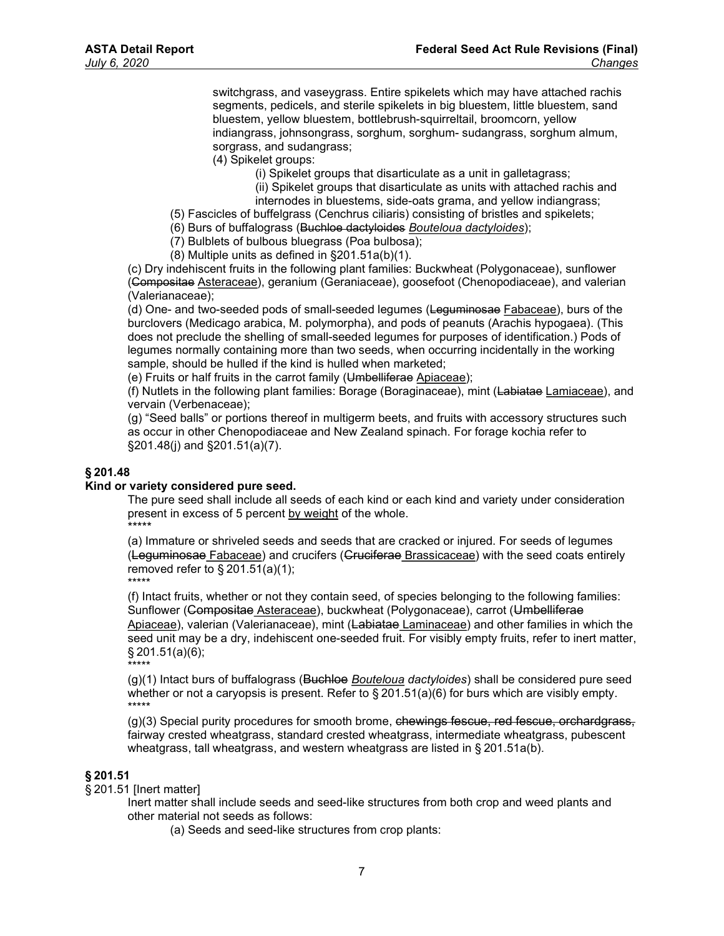switchgrass, and vaseygrass. Entire spikelets which may have attached rachis segments, pedicels, and sterile spikelets in big bluestem, little bluestem, sand bluestem, yellow bluestem, bottlebrush-squirreltail, broomcorn, yellow indiangrass, johnsongrass, sorghum, sorghum- sudangrass, sorghum almum, sorgrass, and sudangrass;

- (4) Spikelet groups:
	- (i) Spikelet groups that disarticulate as a unit in galletagrass;
	- (ii) Spikelet groups that disarticulate as units with attached rachis and internodes in bluestems, side-oats grama, and yellow indiangrass;
- (5) Fascicles of buffelgrass (Cenchrus ciliaris) consisting of bristles and spikelets;
- (6) Burs of buffalograss (Buchloe dactyloides Bouteloua dactyloides);
- (7) Bulblets of bulbous bluegrass (Poa bulbosa);
- (8) Multiple units as defined in §201.51a(b)(1).

(c) Dry indehiscent fruits in the following plant families: Buckwheat (Polygonaceae), sunflower (Compositae Asteraceae), geranium (Geraniaceae), goosefoot (Chenopodiaceae), and valerian (Valerianaceae);

(d) One- and two-seeded pods of small-seeded legumes (Leguminosae Fabaceae), burs of the burclovers (Medicago arabica, M. polymorpha), and pods of peanuts (Arachis hypogaea). (This does not preclude the shelling of small-seeded legumes for purposes of identification.) Pods of legumes normally containing more than two seeds, when occurring incidentally in the working sample, should be hulled if the kind is hulled when marketed;

(e) Fruits or half fruits in the carrot family (Umbelliferae Apiaceae);

(f) Nutlets in the following plant families: Borage (Boraginaceae), mint (Labiatae Lamiaceae), and vervain (Verbenaceae);

(g) "Seed balls" or portions thereof in multigerm beets, and fruits with accessory structures such as occur in other Chenopodiaceae and New Zealand spinach. For forage kochia refer to §201.48(j) and §201.51(a)(7).

#### § 201.48

#### Kind or variety considered pure seed.

The pure seed shall include all seeds of each kind or each kind and variety under consideration present in excess of 5 percent by weight of the whole. \*\*\*\*\*

(a) Immature or shriveled seeds and seeds that are cracked or injured. For seeds of legumes (Leguminosae Fabaceae) and crucifers (Cruciferae Brassicaceae) with the seed coats entirely removed refer to  $\S 201.51(a)(1);$ \*\*\*\*\*

(f) Intact fruits, whether or not they contain seed, of species belonging to the following families: Sunflower (Compositae Asteraceae), buckwheat (Polygonaceae), carrot (Umbelliferae Apiaceae), valerian (Valerianaceae), mint (Labiatae Laminaceae) and other families in which the seed unit may be a dry, indehiscent one-seeded fruit. For visibly empty fruits, refer to inert matter, § 201.51(a)(6);

\*\*\*\*\*  $(q)(1)$  Intact burs of buffalograss (Buchloe *Bouteloua dactyloides*) shall be considered pure seed whether or not a caryopsis is present. Refer to § 201.51(a)(6) for burs which are visibly empty. \*\*\*\*\*

(g)(3) Special purity procedures for smooth brome, chewings fescue, red fescue, orchardgrass, fairway crested wheatgrass, standard crested wheatgrass, intermediate wheatgrass, pubescent wheatgrass, tall wheatgrass, and western wheatgrass are listed in § 201.51a(b).

## § 201.51

§ 201.51 [Inert matter]

Inert matter shall include seeds and seed-like structures from both crop and weed plants and other material not seeds as follows:

(a) Seeds and seed-like structures from crop plants: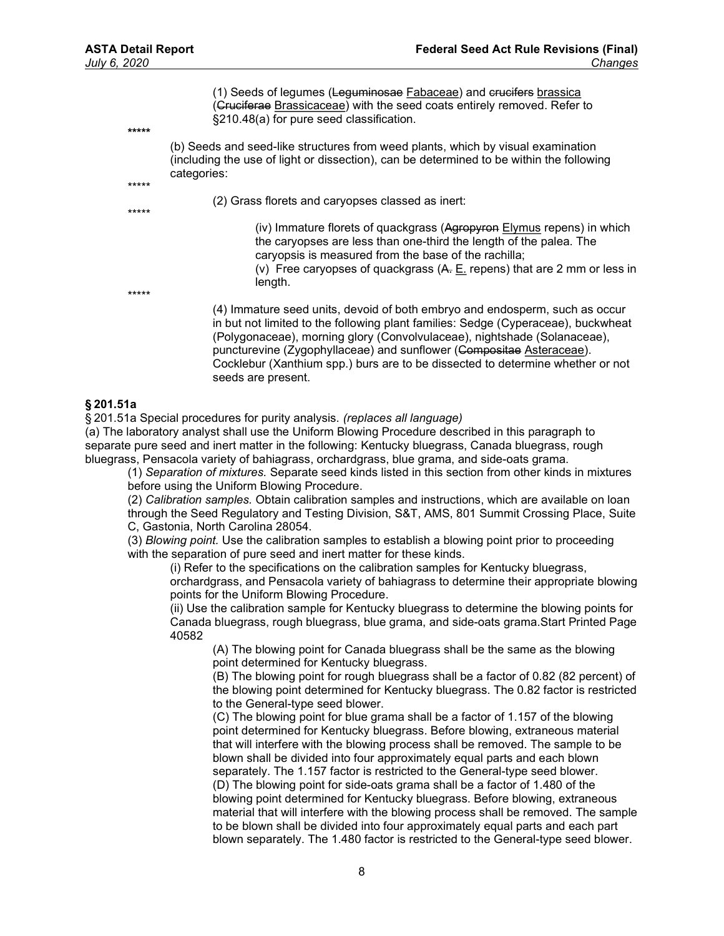\*\*\*\*\*

\*\*\*\*\*

\*\*\*\*\*

(1) Seeds of legumes (Leguminosae Fabaceae) and crucifers brassica (Cruciferae Brassicaceae) with the seed coats entirely removed. Refer to §210.48(a) for pure seed classification.

(b) Seeds and seed-like structures from weed plants, which by visual examination (including the use of light or dissection), can be determined to be within the following categories:

(2) Grass florets and caryopses classed as inert:

(iv) Immature florets of quackgrass (Agropyron Elymus repens) in which the caryopses are less than one-third the length of the palea. The caryopsis is measured from the base of the rachilla;

(v) Free caryopses of quackgrass (A. E. repens) that are 2 mm or less in length.

\*\*\*\*\*

(4) Immature seed units, devoid of both embryo and endosperm, such as occur in but not limited to the following plant families: Sedge (Cyperaceae), buckwheat (Polygonaceae), morning glory (Convolvulaceae), nightshade (Solanaceae), puncturevine (Zygophyllaceae) and sunflower (Compositae Asteraceae). Cocklebur (Xanthium spp.) burs are to be dissected to determine whether or not seeds are present.

#### § 201.51a

§ 201.51a Special procedures for purity analysis. (replaces all language)

(a) The laboratory analyst shall use the Uniform Blowing Procedure described in this paragraph to separate pure seed and inert matter in the following: Kentucky bluegrass, Canada bluegrass, rough bluegrass, Pensacola variety of bahiagrass, orchardgrass, blue grama, and side-oats grama.

(1) Separation of mixtures. Separate seed kinds listed in this section from other kinds in mixtures before using the Uniform Blowing Procedure.

(2) Calibration samples. Obtain calibration samples and instructions, which are available on loan through the Seed Regulatory and Testing Division, S&T, AMS, 801 Summit Crossing Place, Suite C, Gastonia, North Carolina 28054.

(3) Blowing point. Use the calibration samples to establish a blowing point prior to proceeding with the separation of pure seed and inert matter for these kinds.

(i) Refer to the specifications on the calibration samples for Kentucky bluegrass,

orchardgrass, and Pensacola variety of bahiagrass to determine their appropriate blowing points for the Uniform Blowing Procedure.

(ii) Use the calibration sample for Kentucky bluegrass to determine the blowing points for Canada bluegrass, rough bluegrass, blue grama, and side-oats grama.Start Printed Page 40582

(A) The blowing point for Canada bluegrass shall be the same as the blowing point determined for Kentucky bluegrass.

(B) The blowing point for rough bluegrass shall be a factor of 0.82 (82 percent) of the blowing point determined for Kentucky bluegrass. The 0.82 factor is restricted to the General-type seed blower.

(C) The blowing point for blue grama shall be a factor of 1.157 of the blowing point determined for Kentucky bluegrass. Before blowing, extraneous material that will interfere with the blowing process shall be removed. The sample to be blown shall be divided into four approximately equal parts and each blown separately. The 1.157 factor is restricted to the General-type seed blower. (D) The blowing point for side-oats grama shall be a factor of 1.480 of the blowing point determined for Kentucky bluegrass. Before blowing, extraneous material that will interfere with the blowing process shall be removed. The sample to be blown shall be divided into four approximately equal parts and each part blown separately. The 1.480 factor is restricted to the General-type seed blower.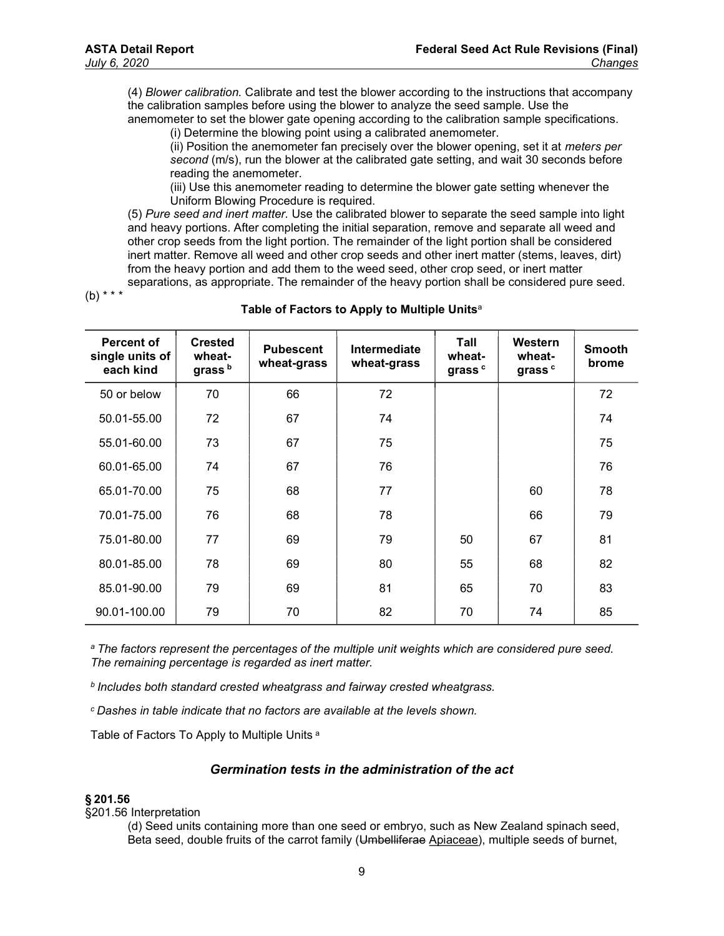(4) Blower calibration. Calibrate and test the blower according to the instructions that accompany the calibration samples before using the blower to analyze the seed sample. Use the

anemometer to set the blower gate opening according to the calibration sample specifications. (i) Determine the blowing point using a calibrated anemometer.

(ii) Position the anemometer fan precisely over the blower opening, set it at meters per second (m/s), run the blower at the calibrated gate setting, and wait 30 seconds before reading the anemometer.

(iii) Use this anemometer reading to determine the blower gate setting whenever the Uniform Blowing Procedure is required.

(5) Pure seed and inert matter. Use the calibrated blower to separate the seed sample into light and heavy portions. After completing the initial separation, remove and separate all weed and other crop seeds from the light portion. The remainder of the light portion shall be considered inert matter. Remove all weed and other crop seeds and other inert matter (stems, leaves, dirt) from the heavy portion and add them to the weed seed, other crop seed, or inert matter separations, as appropriate. The remainder of the heavy portion shall be considered pure seed.

 $(b)$  \* \* \*

| <b>Percent of</b><br>single units of<br>each kind | <b>Crested</b><br>wheat-<br>grass <sup>b</sup> | <b>Pubescent</b><br>wheat-grass | Intermediate<br>wheat-grass | Tall<br>wheat-<br>grass <sup>c</sup> | Western<br>wheat-<br>grass <sup>c</sup> | <b>Smooth</b><br>brome |
|---------------------------------------------------|------------------------------------------------|---------------------------------|-----------------------------|--------------------------------------|-----------------------------------------|------------------------|
| 50 or below                                       | 70                                             | 66                              | 72                          |                                      |                                         | 72                     |
| 50.01-55.00                                       | 72                                             | 67                              | 74                          |                                      |                                         | 74                     |
| 55.01-60.00                                       | 73                                             | 67                              | 75                          |                                      |                                         | 75                     |
| 60.01-65.00                                       | 74                                             | 67                              | 76                          |                                      |                                         | 76                     |
| 65.01-70.00                                       | 75                                             | 68                              | 77                          |                                      | 60                                      | 78                     |
| 70.01-75.00                                       | 76                                             | 68                              | 78                          |                                      | 66                                      | 79                     |
| 75.01-80.00                                       | 77                                             | 69                              | 79                          | 50                                   | 67                                      | 81                     |
| 80.01-85.00                                       | 78                                             | 69                              | 80                          | 55                                   | 68                                      | 82                     |
| 85.01-90.00                                       | 79                                             | 69                              | 81                          | 65                                   | 70                                      | 83                     |
| 90.01-100.00                                      | 79                                             | 70                              | 82                          | 70                                   | 74                                      | 85                     |

#### Table of Factors to Apply to Multiple Units<sup>a</sup>

<sup>a</sup> The factors represent the percentages of the multiple unit weights which are considered pure seed. The remaining percentage is regarded as inert matter.

*b* Includes both standard crested wheatgrass and fairway crested wheatgrass.

c  Dashes in table indicate that no factors are available at the levels shown.

Table of Factors To Apply to Multiple Units <sup>a</sup>

## Germination tests in the administration of the act

#### § 201.56

§201.56 Interpretation

(d) Seed units containing more than one seed or embryo, such as New Zealand spinach seed, Beta seed, double fruits of the carrot family (Umbelliferae Apiaceae), multiple seeds of burnet,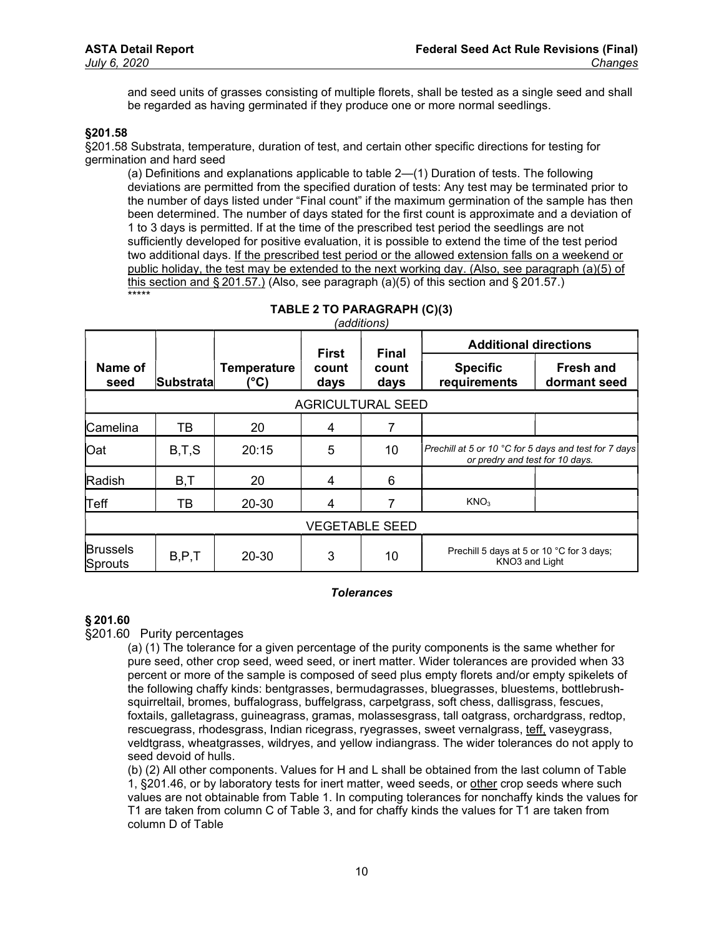and seed units of grasses consisting of multiple florets, shall be tested as a single seed and shall be regarded as having germinated if they produce one or more normal seedlings.

## §201.58

§201.58 Substrata, temperature, duration of test, and certain other specific directions for testing for germination and hard seed

(a) Definitions and explanations applicable to table 2—(1) Duration of tests. The following deviations are permitted from the specified duration of tests: Any test may be terminated prior to the number of days listed under "Final count" if the maximum germination of the sample has then been determined. The number of days stated for the first count is approximate and a deviation of 1 to 3 days is permitted. If at the time of the prescribed test period the seedlings are not sufficiently developed for positive evaluation, it is possible to extend the time of the test period two additional days. If the prescribed test period or the allowed extension falls on a weekend or public holiday, the test may be extended to the next working day. (Also, see paragraph (a)(5) of this section and § 201.57.) (Also, see paragraph (a)(5) of this section and § 201.57.) \*\*\*\*\*

|                            |                  |                           | <b>First</b>  | <b>Final</b>  | <b>Additional directions</b>                                |                                                                                          |  |  |  |
|----------------------------|------------------|---------------------------|---------------|---------------|-------------------------------------------------------------|------------------------------------------------------------------------------------------|--|--|--|
| Name of<br>seed            | <b>Substrata</b> | <b>Temperature</b><br>°C) | count<br>days | count<br>days | <b>Specific</b><br>requirements                             | <b>Fresh and</b><br>dormant seed                                                         |  |  |  |
| <b>AGRICULTURAL SEED</b>   |                  |                           |               |               |                                                             |                                                                                          |  |  |  |
| Camelina                   | ΤВ               | 20                        | 4             |               |                                                             |                                                                                          |  |  |  |
| <b>Oat</b>                 | B,T,S            | 20:15                     | 5             | 10            |                                                             | Prechill at 5 or 10 °C for 5 days and test for 7 days<br>or predry and test for 10 days. |  |  |  |
| Radish                     | B, T             | 20                        | 4             | 6             |                                                             |                                                                                          |  |  |  |
| Teff                       | TВ               | 20-30                     | 4             |               | KNO <sub>3</sub>                                            |                                                                                          |  |  |  |
| <b>VEGETABLE SEED</b>      |                  |                           |               |               |                                                             |                                                                                          |  |  |  |
| <b>Brussels</b><br>Sprouts | B.P.T            | 20-30                     | 3             | 10            | Prechill 5 days at 5 or 10 °C for 3 days;<br>KNO3 and Light |                                                                                          |  |  |  |

| TABLE 2 TO PARAGRAPH (C)(3) |  |
|-----------------------------|--|
| <i>(additions)</i>          |  |

#### **Tolerances**

#### § 201.60

§201.60 Purity percentages

(a) (1) The tolerance for a given percentage of the purity components is the same whether for pure seed, other crop seed, weed seed, or inert matter. Wider tolerances are provided when 33 percent or more of the sample is composed of seed plus empty florets and/or empty spikelets of the following chaffy kinds: bentgrasses, bermudagrasses, bluegrasses, bluestems, bottlebrushsquirreltail, bromes, buffalograss, buffelgrass, carpetgrass, soft chess, dallisgrass, fescues, foxtails, galletagrass, guineagrass, gramas, molassesgrass, tall oatgrass, orchardgrass, redtop, rescuegrass, rhodesgrass, Indian ricegrass, ryegrasses, sweet vernalgrass, teff, vaseygrass, veldtgrass, wheatgrasses, wildryes, and yellow indiangrass. The wider tolerances do not apply to seed devoid of hulls.

(b) (2) All other components. Values for H and L shall be obtained from the last column of Table 1, §201.46, or by laboratory tests for inert matter, weed seeds, or other crop seeds where such values are not obtainable from Table 1. In computing tolerances for nonchaffy kinds the values for T1 are taken from column C of Table 3, and for chaffy kinds the values for T1 are taken from column D of Table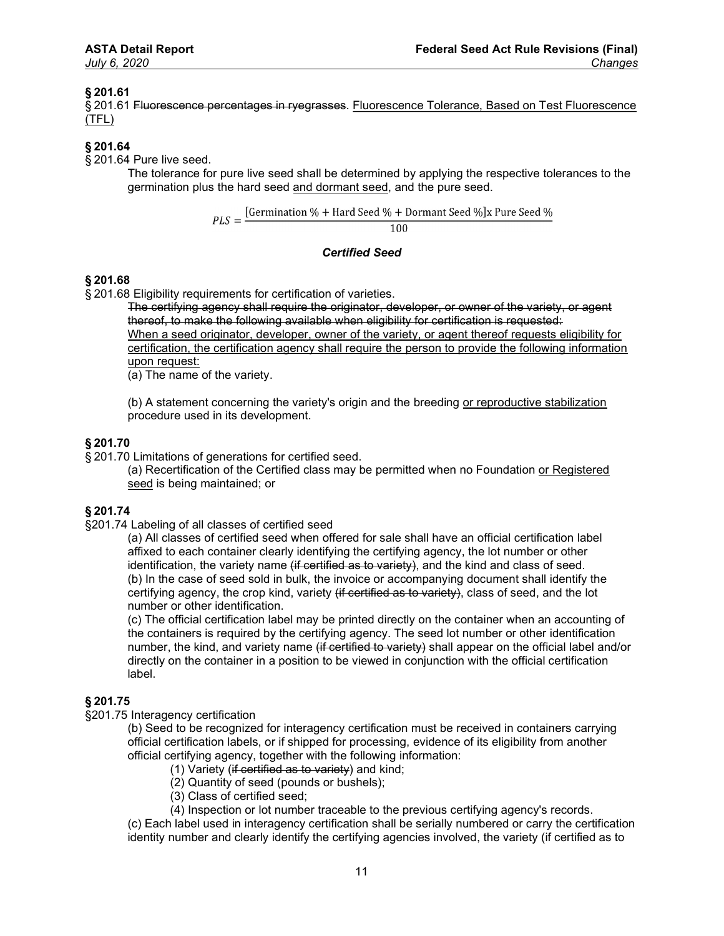## § 201.61

§ 201.61 Fluorescence percentages in ryegrasses. Fluorescence Tolerance, Based on Test Fluorescence (TFL)

## § 201.64

§ 201.64 Pure live seed.

The tolerance for pure live seed shall be determined by applying the respective tolerances to the germination plus the hard seed and dormant seed, and the pure seed.

$$
PLS = \frac{[Germanation % + HardSeed % + Dormant Seed %]x Pure Seed %}{}
$$

100

#### Certified Seed

## § 201.68

§ 201.68 Eligibility requirements for certification of varieties.

The certifying agency shall require the originator, developer, or owner of the variety, or agent thereof, to make the following available when eligibility for certification is requested:

When a seed originator, developer, owner of the variety, or agent thereof requests eligibility for certification, the certification agency shall require the person to provide the following information upon request:

(a) The name of the variety.

(b) A statement concerning the variety's origin and the breeding or reproductive stabilization procedure used in its development.

## § 201.70

§ 201.70 Limitations of generations for certified seed.

(a) Recertification of the Certified class may be permitted when no Foundation or Registered seed is being maintained; or

## § 201.74

§201.74 Labeling of all classes of certified seed

(a) All classes of certified seed when offered for sale shall have an official certification label affixed to each container clearly identifying the certifying agency, the lot number or other identification, the variety name (if certified as to variety), and the kind and class of seed. (b) In the case of seed sold in bulk, the invoice or accompanying document shall identify the certifying agency, the crop kind, variety (if certified as to variety), class of seed, and the lot number or other identification.

(c) The official certification label may be printed directly on the container when an accounting of the containers is required by the certifying agency. The seed lot number or other identification number, the kind, and variety name <del>(if certified to variety)</del> shall appear on the official label and/or directly on the container in a position to be viewed in conjunction with the official certification label.

## § 201.75

§201.75 Interagency certification

(b) Seed to be recognized for interagency certification must be received in containers carrying official certification labels, or if shipped for processing, evidence of its eligibility from another official certifying agency, together with the following information:

- (1) Variety (if certified as to variety) and kind;
- (2) Quantity of seed (pounds or bushels);
- (3) Class of certified seed;
- (4) Inspection or lot number traceable to the previous certifying agency's records.

(c) Each label used in interagency certification shall be serially numbered or carry the certification identity number and clearly identify the certifying agencies involved, the variety (if certified as to